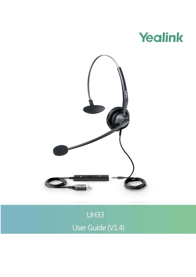



**UH33** User Guide (V1.4)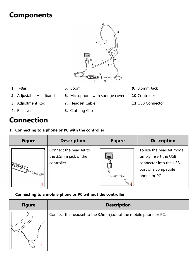# **Components**



**6.** Microphone with sponge cover

**7.** Headset Cable

**8.** Clothing Clip

- **1.** T-Bar
- **2.** Adjustable Headband
- **3.** Adjustment Rod
- **4.** Receiver

# **Connection**

**1. Connecting to a phone or PC with the controller**

| <b>Figure</b>            | <b>Description</b>                                             | <b>Figure</b> | <b>Description</b>                                                                                                  |
|--------------------------|----------------------------------------------------------------|---------------|---------------------------------------------------------------------------------------------------------------------|
| <b>Heath Development</b> | Connect the headset to<br>the 3.5mm jack of the<br>controller. |               | To use the headset mode,<br>simply insert the USB<br>connector into the USB<br>port of a compatible<br>phone or PC. |

**Connecting to a mobile phone or PC without the controller**

| <b>Figure</b> | <b>Description</b>                                               |  |  |
|---------------|------------------------------------------------------------------|--|--|
|               | Connect the headset to the 3.5mm jack of the mobile phone or PC. |  |  |

- **9.** 3.5mm Jack
- **10.**Controller
- **11.**USB Connector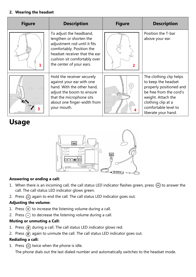#### **2. Wearing the headset**

| <b>Figure</b>      | <b>Description</b>                                                                                                                                                                                           | <b>Figure</b> | <b>Description</b>                                                                                                                                                                              |
|--------------------|--------------------------------------------------------------------------------------------------------------------------------------------------------------------------------------------------------------|---------------|-------------------------------------------------------------------------------------------------------------------------------------------------------------------------------------------------|
|                    | To adjust the headband,<br>lengthen or shorten the<br>adjustment rod until it fits<br>comfortably. Position the<br>headset receiver that the ear<br>cushion sit comfortably over<br>the center of your ears. | 7             | Position the T-bar<br>above your ear.                                                                                                                                                           |
| $\circ$<br>$\circ$ | Hold the receiver securely<br>against your ear with one<br>hand. With the other hand,<br>adjust the boom to ensure<br>that the microphone sits<br>about one finger-width from<br>your mouth.                 |               | The clothing clip helps<br>to keep the headset<br>properly positioned and<br>be free from the cord's<br>weight. Attach the<br>clothing clip at a<br>comfortable level to<br>liberate your hand. |

# **Usage**



#### **Answering or ending a call:**

- 1. When there is an incoming call, the call status LED indicator flashes green, press  $\odot$  to answer the call. The call status LED indicator glows green.
- 2. Press  $\bigcirc$  again to end the call. The call status LED indicator goes out.

## **Adjusting the volume:**

- 1. Press  $\left(\frac{1}{2}\right)$  to increase the listening volume during a call.
- 2. Press  $\left(\overline{\cdot}\right)$  to decrease the listening volume during a call.

#### **Muting or unmuting a Call:**

- 1. Press  $\left(\sqrt{\frac{2}{n}}\right)$  during a call. The call status LED indicator glows red.
- 2. Press  $\left(\frac{1}{2}\right)$  again to unmute the call. The call status LED indicator goes out.

## **Redialing a call:**

1. Press  $\bigodot$  twice when the phone is idle.

The phone dials out the last dialed number and automatically switches to the headset mode.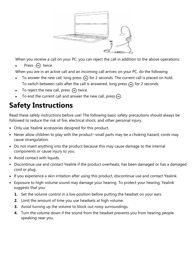

When you receive a call on your PC, you can reject the call in addition to the above operations:

Press  $\odot$  twice.

When you are in an active call and an incoming call arrives on your PC, do the following:

- To answer the new call, long press  $\bigodot$  for 2 seconds. The current call is placed on hold. To switch between calls after the call is answered, long press  $\bigcirc$  for 2 seconds.
- To reject the new call, press  $\odot$  twice.
- To end the current call and answer the new call, press  $\bigcirc$ .

# **Safety Instructions**

Read these safety instructions before use! The following basic safety precautions should always be followed to reduce the risk of fire, electrical shock, and other personal injury.

- Only use Yealink accessories designed for this product.
- Never allow children to play with the product-small parts may be a choking hazard; cords may cause strangulation.
- Do not insert anything into the product because this may cause damage to the internal components or cause injury to you.
- Avoid contact with liquids.
- Discontinue use and contact Yealink if the product overheats, has been damaged or has a damaged cord or plug.
- If you experience a skin irritation after using this product, discontinue use and contact Yealink.
- Exposure to high-volume sound may damage your hearing. To protect your hearing, Yealink suggests that you:
	- **1.** Set the volume control in a low position before putting the headset on your ears.
	- **2.** Limit the amount of time you use headsets at high volume.
	- **3.** Avoid turning up the volume to block out noisy surroundings.
	- **4.** Turn the volume down if the sound from the headset prevents you from hearing people speaking near you.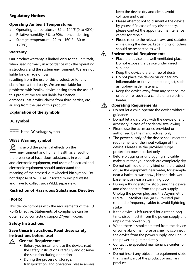### **Regulatory Notices**

### **Operating Ambient Temperatures**

- Operating temperature: +32 to 104°F (0 to 40°C)
- Relative humidity: 5% to 90%, noncondensing
- Storage temperature: -22 to +160°F (-30 to  $+70^{\circ}$ C)

#### **Warranty**

Our product warranty is limited only to the unit itself, when used normally in accordance with the operating instructions and the system environment. We are not liable for damage or loss

resulting from the use of this product, or for any claim from a third party. We are not liable for problems with Yealink device arising from the use of this product; we are not liable for financial damages, lost profits, claims from third parties, etc., arising from the use of this product.

## **Explanation of the symbols**

### **DC symbol**

 $\overline{\mathbf{---}}$  is the DC voltage symbol.

#### **WEEE Warning symbol**

 $\widehat{\mathbb{X}}$  To avoid the potential effects on the  $\dot{=}$  environment and human health as a result of the presence of hazardous substances in electrical and electronic equipment, end users of electrical and electronic equipment should understand the meaning of the crossed-out wheeled bin symbol. Do not dispose of WEEE as unsorted municipal waste and have to collect such WEEE separately.

#### **Restriction of Hazardous Substances Directive**

#### **(RoHS)**

This device complies with the requirements of the EU RoHS Directive. Statements of compliance can be obtained by contacting support@yealink.com.

## **Safety Instructions**

#### **Save these instructions. Read these safety instructions before use!**

#### **General Requirements**  $\bigwedge$

- Before you install and use the device, read the safety instructions carefully and observe the situation during operation.
	- During the process of storage, transportation, and operation, please always

keep the device dry and clean, avoid collision and crash.

- Please attempt not to dismantle the device by yourself. In case of any discrepancy, please contact the appointed maintenance center for repair.
- Please refer to the relevant laws and statutes while using the device. Legal rights of others should be respected as well.

#### Λ **Environmental Requirements**

- Place the device at a well-ventilated place. Do not expose the device under direct sunlight.
- Keep the device dry and free of dusts.
- Do not place the device on or near any inflammable or fire-vulnerable object, such as rubber-made materials.
- Keep the device away from any heat source or bare fire, such as a candle or an electric heater.

### **Operating Requirements**

- Do not let a child operate the device without guidance.
- Do not let a child play with the device or any accessory in case of accidental swallowing.
- Please use the accessories provided or authorized by the manufacturer only.
- The power supply of the device shall meet the requirements of the input voltage of the device. Please use the provided surge protection power socket only.
- Before plugging or unplugging any cable, make sure that your hands are completely dry.
- Do not spill liquid of any kind on the product or use the equipment near water, for example, near a bathtub, washbowl, kitchen sink, wet basement or near a swimming pool.
- During a thunderstorm, stop using the device and disconnect it from the power supply. Unplug the power plug and the Asymmetric Digital Subscriber Line (ADSL) twisted pair (the radio frequency cable) to avoid lightning strike.
- If the device is left unused for a rather long time, disconnect it from the power supply and unplug the power plug.
- When there is smoke emitted from the device, or some abnormal noise or smell, disconnect the device from the power supply, and unplug the power plug immediately.
- Contact the specified maintenance center for repair.
- Do not insert any object into equipment slots that is not part of the product or auxiliary product.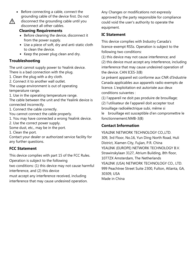- Before connecting a cable, connect the grounding cable of the device first. Do not disconnect the grounding cable until you  $\sqrt{N}$ 
	- disconnect all other cables. **Cleaning Requirements**
	- Before cleaning the device, disconnect it from the power supply.
	- Use a piece of soft, dry and anti-static cloth to clean the device.
	- Keep the power plug clean and dry.

#### **Troubleshooting**

The unit cannot supply power to Yealink device. There is a bad connection with the plug.

1. Clean the plug with a dry cloth.

2. Connect it to another wall outlet.

The usage environment is out of operating temperature range.

1. Use in the operating temperature range. The cable between the unit and the Yealink device is connected incorrectly.

1. Connect the cable correctly.

You cannot connect the cable properly.

1. You may have connected a wrong Yealink device.

2. Use the correct power supply.

Some dust, etc., may be in the port.

1. Clean the port.

Contact your dealer or authorized service facility for any further questions.

#### **FCC Statement**

This device complies with part 15 of the FCC Rules.

Operation is subject to the following

two conditions: (1) this device may not cause harmful interference, and (2) this device

must accept any interference received, including interference that may cause undesired operation. Any Changes or modifications not expressly approved by the party responsible for compliance could void the user's authority to operate the equipment.

#### **IC Statement**

This device complies with Industry Canada's licence-exempt RSSs. Operation is subject to the following two conditions:

(1) this device may not cause interference; and (2) this device must accept any interference, including interference that may cause undesired operation of the device. CAN ICES-3(B)

Le présent appareil est conforme aux CNR d'Industrie Canada applicables aux appareils radio exempts de licence. L'exploitation est autorisée aux deux conditions suivantes :

(1) l'appareil ne doit pas produire de brouillage; (2) l'utilisateur de l'appareil doit accepter tout brouillage radioélectrique subi, même si

le brouillage est susceptible d'en compromettre le fonctionnement.NMB-3(B)

#### **Contact Information**

YEALINK NETWORK TECHNOLOGY CO.,LTD. 309, 3rd Floor, No.16, Yun Ding North Road, Huli District, Xiamen City, Fujian, P.R. China YEALINK (EUROPE) NETWORK TECHNOLOGY B.V. Strawinskylaan 3127, Atrium Building, 8th floor, 1077ZX Amsterdam, The Netherlands YEALINK (USA) NETWORK TECHNOLOGY CO., LTD. 999 Peachtree Street Suite 2300, Fulton, Atlanta, GA, 30309, USA Made in China